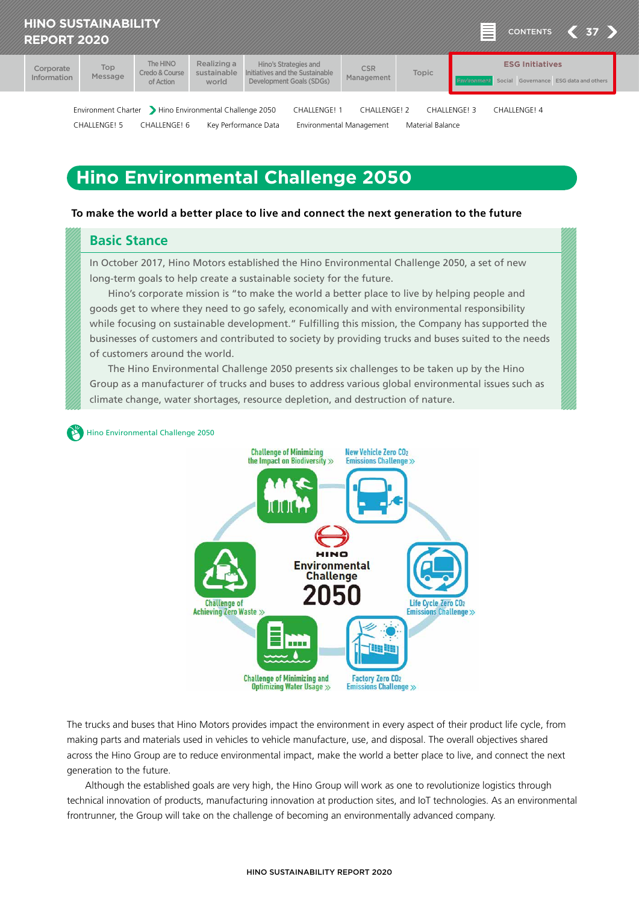<span id="page-0-0"></span>

# **Hino Environmental Challenge 2050**

#### **To make the world a better place to live and connect the next generation to the future**

## **Basic Stance**

In October 2017, Hino Motors established the Hino Environmental Challenge 2050, a set of new long-term goals to help create a sustainable society for the future.

Hino's corporate mission is "to make the world a better place to live by helping people and goods get to where they need to go safely, economically and with environmental responsibility while focusing on sustainable development." Fulfilling this mission, the Company has supported the businesses of customers and contributed to society by providing trucks and buses suited to the needs of customers around the world.

The Hino Environmental Challenge 2050 presents six challenges to be taken up by the Hino Group as a manufacturer of trucks and buses to address various global environmental issues such as climate change, water shortages, resource depletion, and destruction of nature.

[Hino Environmental Challenge 2050](https://www.hino-global.com/corp/csr/challenge2050/index.html)



The trucks and buses that Hino Motors provides impact the environment in every aspect of their product life cycle, from making parts and materials used in vehicles to vehicle manufacture, use, and disposal. The overall objectives shared across the Hino Group are to reduce environmental impact, make the world a better place to live, and connect the next generation to the future.

Although the established goals are very high, the Hino Group will work as one to revolutionize logistics through technical innovation of products, manufacturing innovation at production sites, and IoT technologies. As an environmental frontrunner, the Group will take on the challenge of becoming an environmentally advanced company.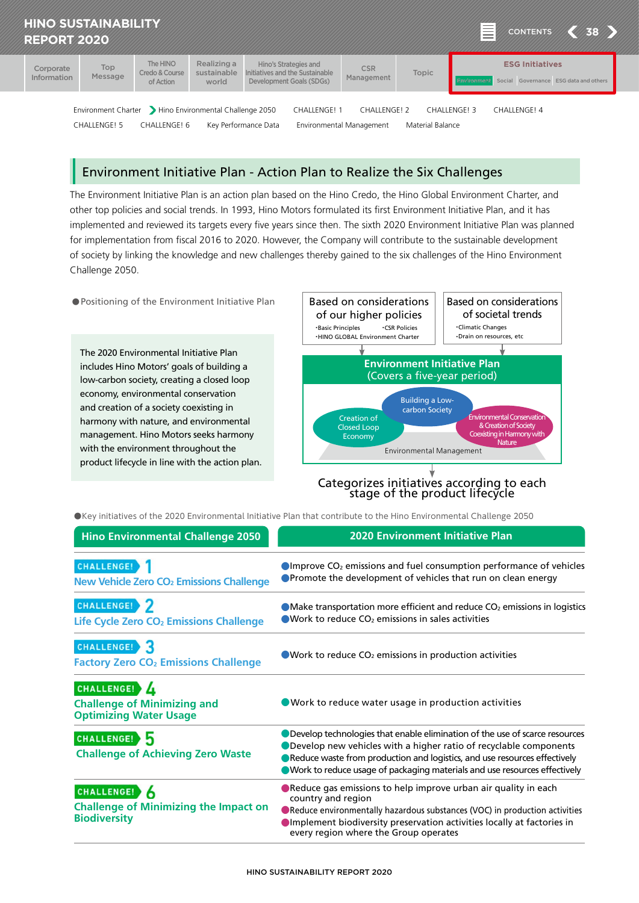

## Environment Initiative Plan - Action Plan to Realize the Six Challenges

The Environment Initiative Plan is an action plan based on the Hino Credo, the Hino Global Environment Charter, and other top policies and social trends. In 1993, Hino Motors formulated its first Environment Initiative Plan, and it has implemented and reviewed its targets every five years since then. The sixth 2020 Environment Initiative Plan was planned for implementation from fiscal 2016 to 2020. However, the Company will contribute to the sustainable development of society by linking the knowledge and new challenges thereby gained to the six challenges of the Hino Environment Challenge 2050.



Categorizes initiatives according to each stage of the product lifecycle

●Key initiatives of the 2020 Environmental Initiative Plan that contribute to the Hino Environmental Challenge 2050

| <b>Hino Environmental Challenge 2050</b>                                            | <b>2020 Environment Initiative Plan</b>                                                                                                                                                                                                                                                                        |
|-------------------------------------------------------------------------------------|----------------------------------------------------------------------------------------------------------------------------------------------------------------------------------------------------------------------------------------------------------------------------------------------------------------|
| CHALLENGE!<br>New Vehicle Zero CO <sub>2</sub> Emissions Challenge                  | $\bigcirc$ Improve CO <sub>2</sub> emissions and fuel consumption performance of vehicles<br><b>• Promote the development of vehicles that run on clean energy</b>                                                                                                                                             |
| CHALLENGE! ><br>Life Cycle Zero CO <sub>2</sub> Emissions Challenge                 | • Make transportation more efficient and reduce CO <sub>2</sub> emissions in logistics<br>$\bullet$ Work to reduce CO <sub>2</sub> emissions in sales activities                                                                                                                                               |
| CHALLENGE!<br><b>Factory Zero CO<sub>2</sub> Emissions Challenge</b>                | $\bullet$ Work to reduce CO <sub>2</sub> emissions in production activities                                                                                                                                                                                                                                    |
| CHALLENGE! 4<br><b>Challenge of Minimizing and</b><br><b>Optimizing Water Usage</b> | ● Work to reduce water usage in production activities                                                                                                                                                                                                                                                          |
| CHALLENGE!<br><b>Challenge of Achieving Zero Waste</b>                              | ● Develop technologies that enable elimination of the use of scarce resources<br>● Develop new vehicles with a higher ratio of recyclable components<br>Reduce waste from production and logistics, and use resources effectively<br>Work to reduce usage of packaging materials and use resources effectively |
| CHALLENGE!<br><b>Challenge of Minimizing the Impact on</b><br><b>Biodiversity</b>   | Reduce gas emissions to help improve urban air quality in each<br>country and region<br>Reduce environmentally hazardous substances (VOC) in production activities<br>Implement biodiversity preservation activities locally at factories in<br>every region where the Group operates                          |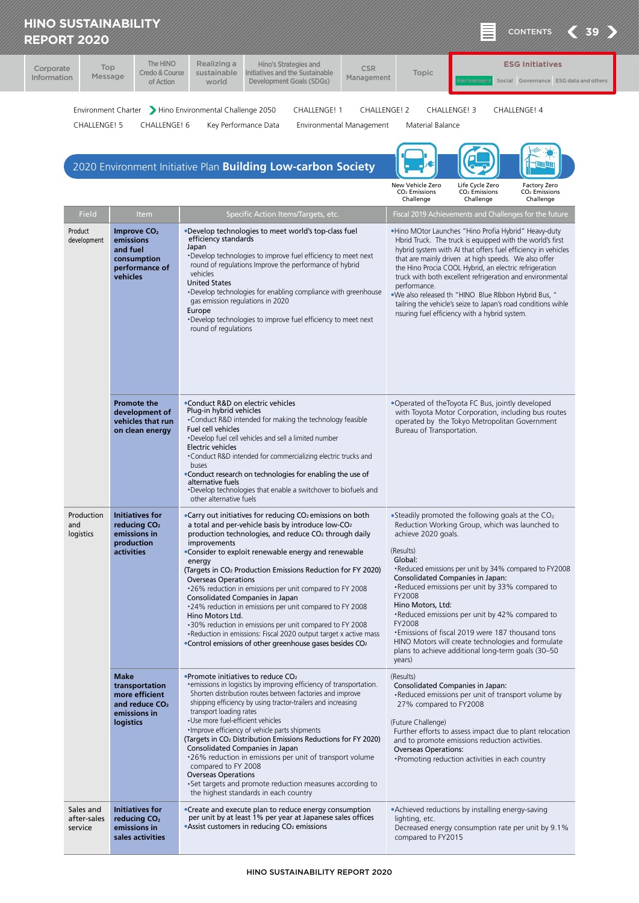| Corporate<br>Information                                                                                                                                                                                                                                                                                                             | Top<br>Message           | The HINO<br>Credo & Course<br>of Action                                                          | Realizing a<br>Hino's Strategies and<br>sustainable<br>Initiatives and the Sustainable<br>Development Goals (SDGs)<br>world                                                                                                                                                                                                                                                                                                                                                                                                                                                                                                                                                                                                                                                                   | <b>CSR</b><br>Management | Topic                                                                                          |                                                                                                                                                                                                                                                                                                                                                                                                                   | <b>ESG Initiatives</b><br>Social Governance ESG data and others                                                                                                                             |
|--------------------------------------------------------------------------------------------------------------------------------------------------------------------------------------------------------------------------------------------------------------------------------------------------------------------------------------|--------------------------|--------------------------------------------------------------------------------------------------|-----------------------------------------------------------------------------------------------------------------------------------------------------------------------------------------------------------------------------------------------------------------------------------------------------------------------------------------------------------------------------------------------------------------------------------------------------------------------------------------------------------------------------------------------------------------------------------------------------------------------------------------------------------------------------------------------------------------------------------------------------------------------------------------------|--------------------------|------------------------------------------------------------------------------------------------|-------------------------------------------------------------------------------------------------------------------------------------------------------------------------------------------------------------------------------------------------------------------------------------------------------------------------------------------------------------------------------------------------------------------|---------------------------------------------------------------------------------------------------------------------------------------------------------------------------------------------|
| Environment Charter > Hino Environmental Challenge 2050<br><b>CHALLENGE! 1</b><br><b>CHALLENGE! 2</b><br><b>CHALLENGE! 3</b><br>CHALLENGE! 4<br>CHALLENGE! 5<br>CHALLENGE! 6<br>Key Performance Data<br>Material Balance<br>Environmental Management<br><b>Hu Ht</b><br>2020 Environment Initiative Plan Building Low-carbon Society |                          |                                                                                                  |                                                                                                                                                                                                                                                                                                                                                                                                                                                                                                                                                                                                                                                                                                                                                                                               |                          |                                                                                                |                                                                                                                                                                                                                                                                                                                                                                                                                   |                                                                                                                                                                                             |
|                                                                                                                                                                                                                                                                                                                                      |                          |                                                                                                  |                                                                                                                                                                                                                                                                                                                                                                                                                                                                                                                                                                                                                                                                                                                                                                                               |                          | New Vehicle Zero<br>CO <sub>2</sub> Emissions<br>Challenge                                     | Life Cycle Zero<br>CO <sub>2</sub> Emissions<br>Challenge                                                                                                                                                                                                                                                                                                                                                         | Factory Zero<br>CO <sub>2</sub> Emissions<br>Challenge                                                                                                                                      |
|                                                                                                                                                                                                                                                                                                                                      | Field                    | Item                                                                                             | Specific Action Items/Targets, etc.                                                                                                                                                                                                                                                                                                                                                                                                                                                                                                                                                                                                                                                                                                                                                           |                          |                                                                                                |                                                                                                                                                                                                                                                                                                                                                                                                                   | Fiscal 2019 Achievements and Challenges for the future                                                                                                                                      |
| Product                                                                                                                                                                                                                                                                                                                              | development              | Improve CO <sub>2</sub><br>emissions<br>and fuel<br>consumption<br>performance of<br>vehicles    | •Develop technologies to meet world's top-class fuel<br>efficiency standards<br>Japan<br>•Develop technologies to improve fuel efficiency to meet next<br>round of regulations Improve the performance of hybrid<br>vehicles<br><b>United States</b><br>•Develop technologies for enabling compliance with greenhouse<br>gas emission regulations in 2020<br>Europe<br>. Develop technologies to improve fuel efficiency to meet next<br>round of regulations                                                                                                                                                                                                                                                                                                                                 |                          | performance.                                                                                   | .Hino MOtor Launches "Hino Profia Hybrid" Heavy-duty<br>Hbrid Truck. The truck is equipped with the world's first<br>that are mainly driven at high speeds. We also offer<br>the Hino Procia COOL Hybrid, an electric refrigeration<br>. We also released th "HINO Blue RIbbon Hybrid Bus, "<br>nsuring fuel efficiency with a hybrid system.                                                                     | hybrid system with AI that offers fuel efficiency in vehicles<br>truck with both excellent refrigeration and environmental<br>tailring the vehicle's seize to Japan's road conditions wihle |
|                                                                                                                                                                                                                                                                                                                                      |                          | <b>Promote the</b><br>development of<br>vehicles that run<br>on clean energy                     | •Conduct R&D on electric vehicles<br>Plug-in hybrid vehicles<br>•Conduct R&D intended for making the technology feasible<br>Fuel cell vehicles<br>•Develop fuel cell vehicles and sell a limited number<br>Electric vehicles<br>•Conduct R&D intended for commercializing electric trucks and<br>buses<br>•Conduct research on technologies for enabling the use of<br>alternative fuels<br>•Develop technologies that enable a switchover to biofuels and<br>other alternative fuels                                                                                                                                                                                                                                                                                                         |                          | Bureau of Transportation.                                                                      | •Operated of theToyota FC Bus, jointly developed<br>operated by the Tokyo Metropolitan Government                                                                                                                                                                                                                                                                                                                 | with Toyota Motor Corporation, including bus routes                                                                                                                                         |
| Production<br>and<br>logistics                                                                                                                                                                                                                                                                                                       |                          | <b>Initiatives for</b><br>reducing CO <sub>2</sub><br>emissions in<br>production<br>activities   | •Carry out initiatives for reducing CO <sub>2</sub> emissions on both<br>a total and per-vehicle basis by introduce low-CO <sub>2</sub><br>production technologies, and reduce CO <sub>2</sub> through daily<br>improvements<br>•Consider to exploit renewable energy and renewable<br>energy<br>(Targets in CO <sub>2</sub> Production Emissions Reduction for FY 2020)<br><b>Overseas Operations</b><br>.26% reduction in emissions per unit compared to FY 2008<br>Consolidated Companies in Japan<br>•24% reduction in emissions per unit compared to FY 2008<br>Hino Motors Ltd.<br>•30% reduction in emissions per unit compared to FY 2008<br>•Reduction in emissions: Fiscal 2020 output target x active mass<br>•Control emissions of other greenhouse gases besides CO <sub>2</sub> |                          | achieve 2020 goals.<br>(Results)<br>Global:<br>FY2008<br>Hino Motors, Ltd:<br>FY2008<br>years) | • Steadily promoted the following goals at the $CO2$<br>Reduction Working Group, which was launched to<br>Consolidated Companies in Japan:<br>. Reduced emissions per unit by 33% compared to<br>. Reduced emissions per unit by 42% compared to<br>• Emissions of fiscal 2019 were 187 thousand tons<br>HINO Motors will create technologies and formulate<br>plans to achieve additional long-term goals (30-50 | . Reduced emissions per unit by 34% compared to FY2008                                                                                                                                      |
|                                                                                                                                                                                                                                                                                                                                      |                          | <b>Make</b><br>transportation<br>more efficient<br>and reduce $CO2$<br>emissions in<br>logistics | •Promote initiatives to reduce CO <sub>2</sub><br>• emissions in logistics by improving efficiency of transportation.<br>Shorten distribution routes between factories and improve<br>shipping efficiency by using tractor-trailers and increasing<br>transport loading rates<br>· Use more fuel-efficient vehicles<br>. Improve efficiency of vehicle parts shipments<br>(Targets in CO2 Distribution Emissions Reductions for FY 2020)<br>Consolidated Companies in Japan<br>.26% reduction in emissions per unit of transport volume<br>compared to FY 2008<br><b>Overseas Operations</b><br>• Set targets and promote reduction measures according to<br>the highest standards in each country                                                                                            |                          | (Results)<br>27% compared to FY2008<br>(Future Challenge)<br><b>Overseas Operations:</b>       | Consolidated Companies in Japan:<br>•Reduced emissions per unit of transport volume by<br>and to promote emissions reduction activities.<br>• Promoting reduction activities in each country                                                                                                                                                                                                                      | Further efforts to assess impact due to plant relocation                                                                                                                                    |
| service                                                                                                                                                                                                                                                                                                                              | Sales and<br>after-sales | <b>Initiatives for</b><br>reducing CO <sub>2</sub><br>emissions in<br>sales activities           | •Create and execute plan to reduce energy consumption<br>per unit by at least 1% per year at Japanese sales offices<br>• Assist customers in reducing CO <sub>2</sub> emissions                                                                                                                                                                                                                                                                                                                                                                                                                                                                                                                                                                                                               |                          | lighting, etc.<br>compared to FY2015                                                           | • Achieved reductions by installing energy-saving                                                                                                                                                                                                                                                                                                                                                                 | Decreased energy consumption rate per unit by 9.1%                                                                                                                                          |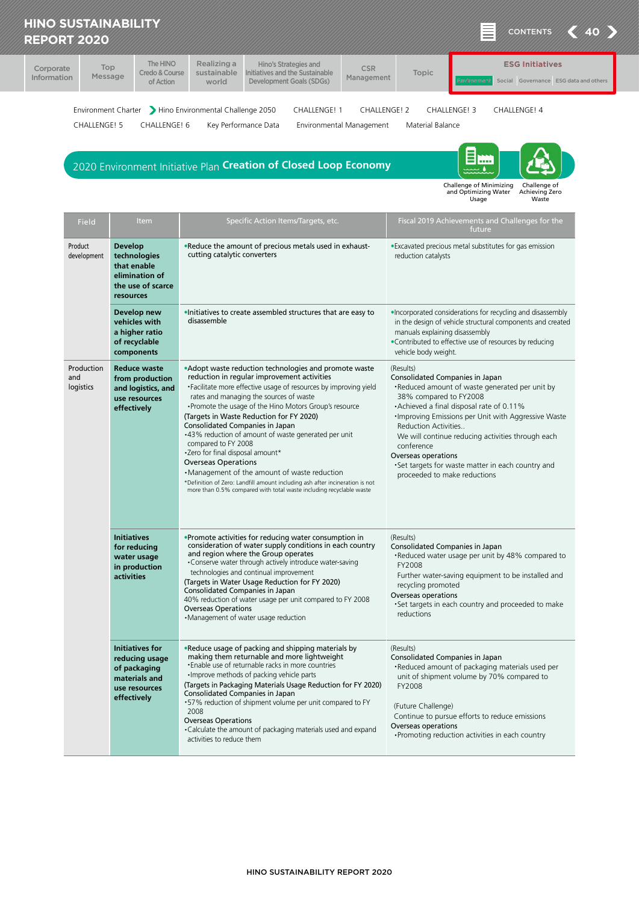|                                 | <b>HINO SUSTAINABILITY</b><br><b>CONTENTS</b><br><b>REPORT 2020</b>                                                                                                                                                   |                                                                                                           |                                                                                                                                                                                                                                                                                                                                                                                                                                                                                                                                                                                                                                                                                                                         |                                          |                                                                                                                                                                     |                                                                                                                                                                                                                                                             |  |
|---------------------------------|-----------------------------------------------------------------------------------------------------------------------------------------------------------------------------------------------------------------------|-----------------------------------------------------------------------------------------------------------|-------------------------------------------------------------------------------------------------------------------------------------------------------------------------------------------------------------------------------------------------------------------------------------------------------------------------------------------------------------------------------------------------------------------------------------------------------------------------------------------------------------------------------------------------------------------------------------------------------------------------------------------------------------------------------------------------------------------------|------------------------------------------|---------------------------------------------------------------------------------------------------------------------------------------------------------------------|-------------------------------------------------------------------------------------------------------------------------------------------------------------------------------------------------------------------------------------------------------------|--|
| Corporate<br><b>Information</b> | Top<br>Message                                                                                                                                                                                                        | The HINO<br>Credo & Course<br>of Action                                                                   | Realizing a<br>Hino's Strategies and<br>Initiatives and the Sustainable<br>sustainable<br>Development Goals (SDGs)<br>world                                                                                                                                                                                                                                                                                                                                                                                                                                                                                                                                                                                             | <b>CSR</b><br>Management                 | Topic                                                                                                                                                               | <b>ESG Initiatives</b><br>Social Governance ESG data and others                                                                                                                                                                                             |  |
|                                 | <b>CHALLENGE! 5</b>                                                                                                                                                                                                   | CHALLENGE! 6                                                                                              | Environment Charter > Hino Environmental Challenge 2050<br><b>CHALLENGE! 1</b><br>Key Performance Data<br>2020 Environment Initiative Plan Creation of Closed Loop Economy                                                                                                                                                                                                                                                                                                                                                                                                                                                                                                                                              | CHALLENGE! 2<br>Environmental Management | <b>CHALLENGE! 3</b><br>Material Balance                                                                                                                             | CHALLENGE! 4<br>E m<br>Challenge of Minimizing<br>Challenge of<br>and Optimizing Water<br>Achieving Zero<br>Waste<br>Usage                                                                                                                                  |  |
|                                 | Field                                                                                                                                                                                                                 | <b>Item</b>                                                                                               | Specific Action Items/Targets, etc.                                                                                                                                                                                                                                                                                                                                                                                                                                                                                                                                                                                                                                                                                     |                                          |                                                                                                                                                                     | Fiscal 2019 Achievements and Challenges for the<br>future                                                                                                                                                                                                   |  |
|                                 | Product<br>.Reduce the amount of precious metals used in exhaust-<br><b>Develop</b><br>cutting catalytic converters<br>technologies<br>development<br>that enable<br>elimination of<br>the use of scarce<br>resources |                                                                                                           |                                                                                                                                                                                                                                                                                                                                                                                                                                                                                                                                                                                                                                                                                                                         | reduction catalysts                      | . Excavated precious metal substitutes for gas emission                                                                                                             |                                                                                                                                                                                                                                                             |  |
|                                 |                                                                                                                                                                                                                       | Develop new<br>vehicles with<br>a higher ratio<br>of recyclable<br>components                             | . Initiatives to create assembled structures that are easy to<br>disassemble                                                                                                                                                                                                                                                                                                                                                                                                                                                                                                                                                                                                                                            |                                          | manuals explaining disassembly<br>vehicle body weight.                                                                                                              | . Incorporated considerations for recycling and disassembly<br>in the design of vehicle structural components and created<br>•Contributed to effective use of resources by reducing                                                                         |  |
| and                             | <b>Production</b><br>logistics                                                                                                                                                                                        | <b>Reduce waste</b><br>from production<br>and logistics, and<br>use resources<br>effectively              | • Adopt waste reduction technologies and promote waste<br>reduction in regular improvement activities<br>• Facilitate more effective usage of resources by improving yield<br>rates and managing the sources of waste<br>• Promote the usage of the Hino Motors Group's resource<br>(Targets in Waste Reduction for FY 2020)<br>Consolidated Companies in Japan<br>.43% reduction of amount of waste generated per unit<br>compared to FY 2008<br>*Zero for final disposal amount*<br><b>Overseas Operations</b><br>•Management of the amount of waste reduction<br>*Definition of Zero: Landfill amount including ash after incineration is not<br>more than 0.5% compared with total waste including recyclable waste |                                          | (Results)<br>Consolidated Companies in Japan<br>38% compared to FY2008<br>Reduction Activities<br>conference<br>Overseas operations<br>proceeded to make reductions | •Reduced amount of waste generated per unit by<br>• Achieved a final disposal rate of 0.11%<br>Improving Emissions per Unit with Aggressive Waste<br>We will continue reducing activities through each<br>•Set targets for waste matter in each country and |  |
|                                 |                                                                                                                                                                                                                       | <b>Initiatives</b><br>for reducing<br>water usage<br>in production<br><b>activities</b>                   | •Promote activities for reducing water consumption in<br>consideration of water supply conditions in each country<br>and region where the Group operates<br>. Conserve water through actively introduce water-saving<br>technologies and continual improvement<br>(Targets in Water Usage Reduction for FY 2020)<br>Consolidated Companies in Japan<br>40% reduction of water usage per unit compared to FY 2008<br><b>Overseas Operations</b><br>•Management of water usage reduction                                                                                                                                                                                                                                  |                                          | (Results)<br>Consolidated Companies in Japan<br>FY2008<br>recycling promoted<br>Overseas operations<br>reductions                                                   | . Reduced water usage per unit by 48% compared to<br>Further water-saving equipment to be installed and<br>. Set targets in each country and proceeded to make                                                                                              |  |
|                                 |                                                                                                                                                                                                                       | <b>Initiatives for</b><br>reducing usage<br>of packaging<br>materials and<br>use resources<br>effectively | .Reduce usage of packing and shipping materials by<br>making them returnable and more lightweight<br>. Enable use of returnable racks in more countries<br>. Improve methods of packing vehicle parts<br>(Targets in Packaging Materials Usage Reduction for FY 2020)<br>Consolidated Companies in Japan<br>.57% reduction of shipment volume per unit compared to FY<br>2008<br><b>Overseas Operations</b><br>•Calculate the amount of packaging materials used and expand<br>activities to reduce them                                                                                                                                                                                                                |                                          | (Results)<br>Consolidated Companies in Japan<br>FY2008<br>(Future Challenge)<br>Overseas operations                                                                 | •Reduced amount of packaging materials used per<br>unit of shipment volume by 70% compared to<br>Continue to pursue efforts to reduce emissions<br>• Promoting reduction activities in each country                                                         |  |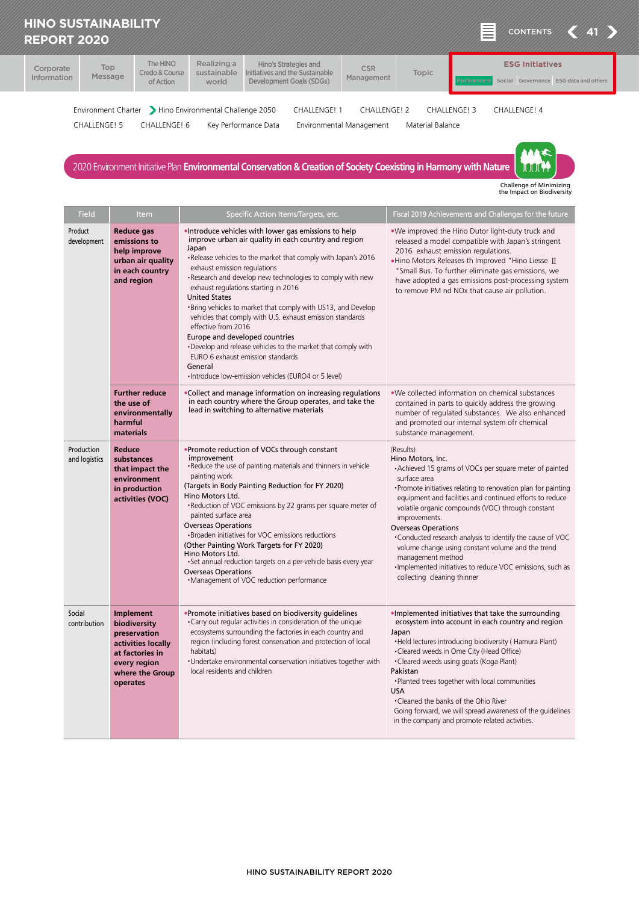| <b>REPORT 2020</b>                                                                                                                                                                                                                                   | <b>HINO SUSTAINABILITY</b> |                                         |                                     |                                                                                      |                          |       | 亖<br>$\langle 41 \rangle$<br><b>CONTENTS</b>                    |
|------------------------------------------------------------------------------------------------------------------------------------------------------------------------------------------------------------------------------------------------------|----------------------------|-----------------------------------------|-------------------------------------|--------------------------------------------------------------------------------------|--------------------------|-------|-----------------------------------------------------------------|
| Corporate<br>Information                                                                                                                                                                                                                             | Top<br>Message             | The HINO<br>Credo & Course<br>of Action | Realizing a<br>sustainable<br>world | Hino's Strategies and<br>Initiatives and the Sustainable<br>Development Goals (SDGs) | <b>CSR</b><br>Management | Topic | <b>ESG Initiatives</b><br>Social Governance ESG data and others |
| Environment Charter > Hino Environmental Challenge 2050<br><b>CHALLENGE! 1</b><br><b>CHALLENGE! 2</b><br>CHALLENGE! 3<br>CHALLENGE! 4<br><b>CHALLENGE! 5</b><br>Key Performance Data<br>Material Balance<br>CHALLENGE! 6<br>Environmental Management |                            |                                         |                                     |                                                                                      |                          |       |                                                                 |
| 2020 Environment Initiative Plan Environmental Conservation & Creation of Society Coexisting in Harmony with Nature                                                                                                                                  |                            |                                         |                                     |                                                                                      |                          |       |                                                                 |

Challenge of Minimizing the Impact on Biodiversity

| <b>Field</b>                | Item                                                                                                                              | Specific Action Items/Targets, etc.                                                                                                                                                                                                                                                                                                                                                                                                                                                                                                                                                                                                                                                                                | Fiscal 2019 Achievements and Challenges for the future                                                                                                                                                                                                                                                                                                                                                                                                                                                                                                                          |  |  |
|-----------------------------|-----------------------------------------------------------------------------------------------------------------------------------|--------------------------------------------------------------------------------------------------------------------------------------------------------------------------------------------------------------------------------------------------------------------------------------------------------------------------------------------------------------------------------------------------------------------------------------------------------------------------------------------------------------------------------------------------------------------------------------------------------------------------------------------------------------------------------------------------------------------|---------------------------------------------------------------------------------------------------------------------------------------------------------------------------------------------------------------------------------------------------------------------------------------------------------------------------------------------------------------------------------------------------------------------------------------------------------------------------------------------------------------------------------------------------------------------------------|--|--|
| Product<br>development      | <b>Reduce gas</b><br>emissions to<br>help improve<br>urban air quality<br>in each country<br>and region                           | .Introduce vehicles with lower gas emissions to help<br>improve urban air quality in each country and region<br>Japan<br>•Release vehicles to the market that comply with Japan's 2016<br>exhaust emission regulations<br>•Research and develop new technologies to comply with new<br>exhaust regulations starting in 2016<br><b>United States</b><br>. Bring vehicles to market that comply with US13, and Develop<br>vehicles that comply with U.S. exhaust emission standards<br>effective from 2016<br>Europe and developed countries<br>. Develop and release vehicles to the market that comply with<br>EURO 6 exhaust emission standards<br>General<br>•Introduce low-emission vehicles (EURO4 or 5 level) | . We improved the Hino Dutor light-duty truck and<br>released a model compatible with Japan's stringent<br>2016 exhaust emission regulations.<br>. Hino Motors Releases th Improved "Hino Liesse II<br>"Small Bus. To further eliminate gas emissions, we<br>have adopted a gas emissions post-processing system<br>to remove PM nd NOx that cause air pollution.                                                                                                                                                                                                               |  |  |
|                             | <b>Further reduce</b><br>the use of<br>environmentally<br>harmful<br>materials                                                    | •Collect and manage information on increasing regulations<br>in each country where the Group operates, and take the<br>lead in switching to alternative materials                                                                                                                                                                                                                                                                                                                                                                                                                                                                                                                                                  | . We collected information on chemical substances<br>contained in parts to quickly address the growing<br>number of regulated substances. We also enhanced<br>and promoted our internal system ofr chemical<br>substance management.                                                                                                                                                                                                                                                                                                                                            |  |  |
| Production<br>and logistics | Reduce<br>substances<br>that impact the<br>environment<br>in production<br>activities (VOC)                                       | . Promote reduction of VOCs through constant<br>improvement<br>. Reduce the use of painting materials and thinners in vehicle<br>painting work<br>(Targets in Body Painting Reduction for FY 2020)<br>Hino Motors Ltd.<br>•Reduction of VOC emissions by 22 grams per square meter of<br>painted surface area<br><b>Overseas Operations</b><br>• Broaden initiatives for VOC emissions reductions<br>(Other Painting Work Targets for FY 2020)<br>Hino Motors Ltd.<br>• Set annual reduction targets on a per-vehicle basis every year<br><b>Overseas Operations</b><br>•Management of VOC reduction performance                                                                                                   | (Results)<br>Hino Motors, Inc.<br>• Achieved 15 grams of VOCs per square meter of painted<br>surface area<br>• Promote initiatives relating to renovation plan for painting<br>equipment and facilities and continued efforts to reduce<br>volatile organic compounds (VOC) through constant<br>improvements.<br><b>Overseas Operations</b><br>. Conducted research analysis to identify the cause of VOC<br>volume change using constant volume and the trend<br>management method<br>·Implemented initiatives to reduce VOC emissions, such as<br>collecting cleaning thinner |  |  |
| Social<br>contribution      | Implement<br>biodiversity<br>preservation<br>activities locally<br>at factories in<br>every region<br>where the Group<br>operates | •Promote initiatives based on biodiversity quidelines<br>. Carry out regular activities in consideration of the unique<br>ecosystems surrounding the factories in each country and<br>region (including forest conservation and protection of local<br>habitats)<br>· Undertake environmental conservation initiatives together with<br>local residents and children                                                                                                                                                                                                                                                                                                                                               | . Implemented initiatives that take the surrounding<br>ecosystem into account in each country and region<br>Japan<br>. Held lectures introducing biodiversity (Hamura Plant)<br>•Cleared weeds in Ome City (Head Office)<br>•Cleared weeds using goats (Koga Plant)<br>Pakistan<br>. Planted trees together with local communities<br><b>USA</b><br>•Cleaned the banks of the Ohio River<br>Going forward, we will spread awareness of the guidelines<br>in the company and promote related activities.                                                                         |  |  |